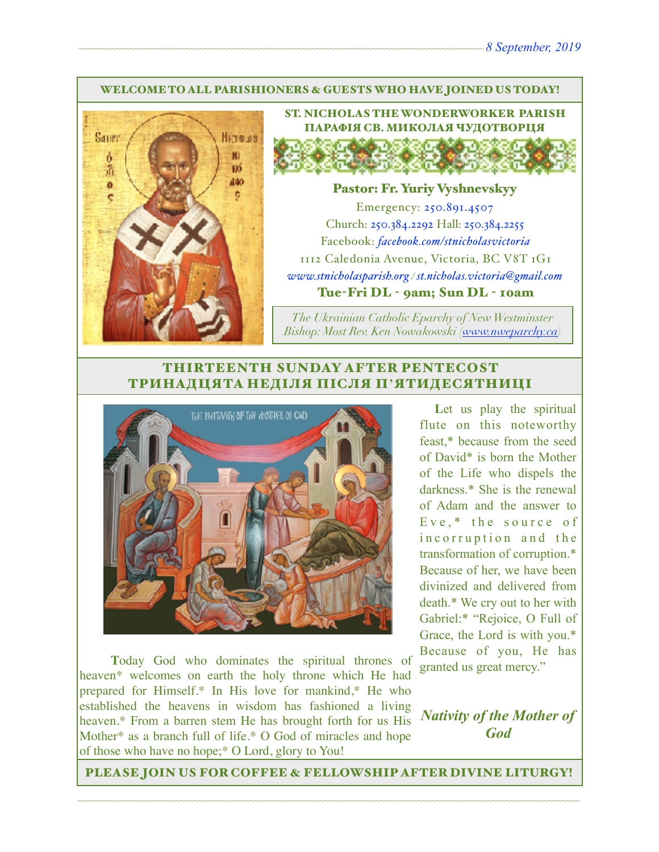#### WELCOME TO ALL PARISHIONERS & GUESTS WHO HAVE JOINED US TODAY!



ST. NICHOLAS THE WONDERWORKER PARISH ПАРАФІЯ СВ. МИКОЛАЯ ЧУДОТВОРЦЯ

#### Pastor: Fr. Yuriy Vyshnevskyy

Emergency: 250.891.4507 Church: 250.384.2292 Hall: 250.384.2255 Facebook: *[facebook.com/stnicholasvictoria](http://facebook.com/stnicholasvictoria)* 1112 Caledonia Avenue, Victoria, BC V8T 1G1 *[www.stnicholasparish.org](http://www.stnicholasparish.org) / [st.nicholas.victoria@gmail.com](mailto:st.nicholas.victoria@gmail.com)* Tue-Fri DL - 9am; Sun DL - 10am

*The Ukrainian Catholic Eparchy of New Westminster Bishop: Most Rev. Ken Nowakowski ([www.nweparchy.ca](http://www.nweparchy.ca))*

### THIRTEENTH SUNDAY AFTER PENTECOST ТРИНАДЦЯТА НЕДІЛЯ ПІСЛЯ П**'**ЯТИДЕСЯТНИЦІ



**T**oday God who dominates the spiritual thrones of heaven\* welcomes on earth the holy throne which He had prepared for Himself.\* In His love for mankind,\* He who established the heavens in wisdom has fashioned a living heaven.\* From a barren stem He has brought forth for us His Mother<sup>\*</sup> as a branch full of life.<sup>\*</sup> O God of miracles and hope of those who have no hope;\* O Lord, glory to You!

Let us play the spiritual flute on this noteworthy feast,\* because from the seed of David\* is born the Mother of the Life who dispels the darkness.\* She is the renewal of Adam and the answer to Eve, $*$  the source of incorruption and the transformation of corruption.\* Because of her, we have been divinized and delivered from death.\* We cry out to her with Gabriel:\* "Rejoice, O Full of Grace, the Lord is with you.\* Because of you, He has granted us great mercy."

*Nativity of the Mother of God*

PLEASE JOIN US FOR COFFEE & FELLOWSHIP AFTER DIVINE LITURGY!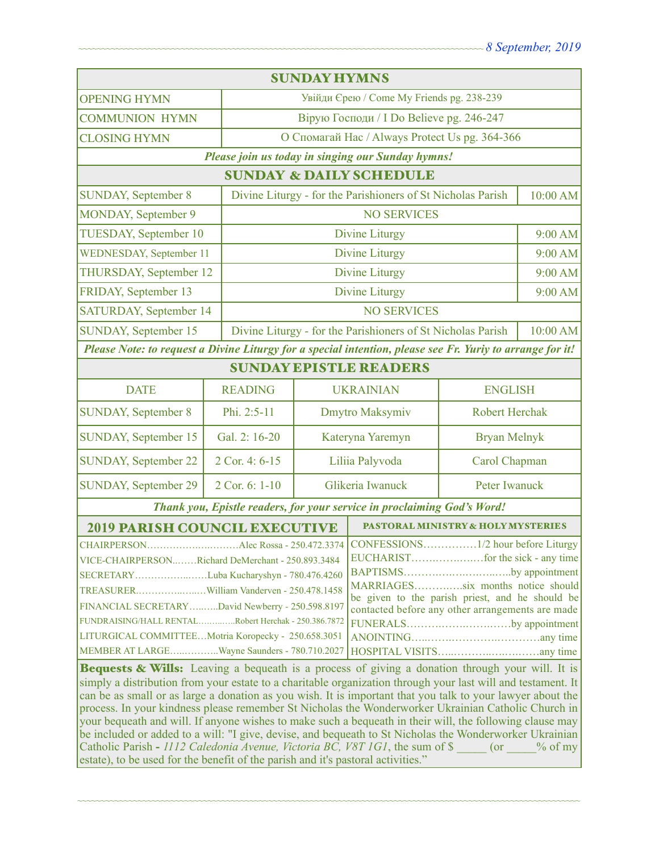| <b>SUNDAY HYMNS</b>                                                                                                                                                                                                                                                                                                                                                                                                                                                                                                                                                                                                                                                                                                                                                         |                                    |                                                                         |                       |                     |            |  |
|-----------------------------------------------------------------------------------------------------------------------------------------------------------------------------------------------------------------------------------------------------------------------------------------------------------------------------------------------------------------------------------------------------------------------------------------------------------------------------------------------------------------------------------------------------------------------------------------------------------------------------------------------------------------------------------------------------------------------------------------------------------------------------|------------------------------------|-------------------------------------------------------------------------|-----------------------|---------------------|------------|--|
| <b>OPENING HYMN</b>                                                                                                                                                                                                                                                                                                                                                                                                                                                                                                                                                                                                                                                                                                                                                         |                                    | Увійди Єрею / Come My Friends pg. 238-239                               |                       |                     |            |  |
| <b>COMMUNION HYMN</b>                                                                                                                                                                                                                                                                                                                                                                                                                                                                                                                                                                                                                                                                                                                                                       |                                    | Вірую Господи / I Do Believe pg. 246-247                                |                       |                     |            |  |
| <b>CLOSING HYMN</b>                                                                                                                                                                                                                                                                                                                                                                                                                                                                                                                                                                                                                                                                                                                                                         |                                    | О Спомагай Нас / Always Protect Us pg. 364-366                          |                       |                     |            |  |
| Please join us today in singing our Sunday hymns!                                                                                                                                                                                                                                                                                                                                                                                                                                                                                                                                                                                                                                                                                                                           |                                    |                                                                         |                       |                     |            |  |
| <b>SUNDAY &amp; DAILY SCHEDULE</b>                                                                                                                                                                                                                                                                                                                                                                                                                                                                                                                                                                                                                                                                                                                                          |                                    |                                                                         |                       |                     |            |  |
| <b>SUNDAY, September 8</b>                                                                                                                                                                                                                                                                                                                                                                                                                                                                                                                                                                                                                                                                                                                                                  |                                    | Divine Liturgy - for the Parishioners of St Nicholas Parish             |                       |                     | $10:00$ AM |  |
| <b>MONDAY, September 9</b>                                                                                                                                                                                                                                                                                                                                                                                                                                                                                                                                                                                                                                                                                                                                                  |                                    | <b>NO SERVICES</b>                                                      |                       |                     |            |  |
| TUESDAY, September 10                                                                                                                                                                                                                                                                                                                                                                                                                                                                                                                                                                                                                                                                                                                                                       |                                    | <b>Divine Liturgy</b>                                                   |                       |                     | $9:00$ AM  |  |
| <b>WEDNESDAY, September 11</b>                                                                                                                                                                                                                                                                                                                                                                                                                                                                                                                                                                                                                                                                                                                                              |                                    | <b>Divine Liturgy</b>                                                   |                       |                     | 9:00 AM    |  |
| THURSDAY, September 12                                                                                                                                                                                                                                                                                                                                                                                                                                                                                                                                                                                                                                                                                                                                                      |                                    | <b>Divine Liturgy</b>                                                   |                       |                     | 9:00 AM    |  |
| FRIDAY, September 13                                                                                                                                                                                                                                                                                                                                                                                                                                                                                                                                                                                                                                                                                                                                                        |                                    |                                                                         | <b>Divine Liturgy</b> |                     | 9:00 AM    |  |
| SATURDAY, September 14                                                                                                                                                                                                                                                                                                                                                                                                                                                                                                                                                                                                                                                                                                                                                      |                                    | <b>NO SERVICES</b>                                                      |                       |                     |            |  |
| <b>SUNDAY, September 15</b>                                                                                                                                                                                                                                                                                                                                                                                                                                                                                                                                                                                                                                                                                                                                                 |                                    | Divine Liturgy - for the Parishioners of St Nicholas Parish<br>10:00 AM |                       |                     |            |  |
| Please Note: to request a Divine Liturgy for a special intention, please see Fr. Yuriy to arrange for it!                                                                                                                                                                                                                                                                                                                                                                                                                                                                                                                                                                                                                                                                   |                                    |                                                                         |                       |                     |            |  |
| <b>SUNDAY EPISTLE READERS</b>                                                                                                                                                                                                                                                                                                                                                                                                                                                                                                                                                                                                                                                                                                                                               |                                    |                                                                         |                       |                     |            |  |
| <b>DATE</b>                                                                                                                                                                                                                                                                                                                                                                                                                                                                                                                                                                                                                                                                                                                                                                 | <b>READING</b>                     | <b>UKRAINIAN</b>                                                        |                       | <b>ENGLISH</b>      |            |  |
| <b>SUNDAY, September 8</b>                                                                                                                                                                                                                                                                                                                                                                                                                                                                                                                                                                                                                                                                                                                                                  | Phi. 2:5-11                        | Dmytro Maksymiv<br><b>Robert Herchak</b>                                |                       |                     |            |  |
| SUNDAY, September 15                                                                                                                                                                                                                                                                                                                                                                                                                                                                                                                                                                                                                                                                                                                                                        | Gal. 2: 16-20                      | Kateryna Yaremyn                                                        |                       | <b>Bryan Melnyk</b> |            |  |
| <b>SUNDAY, September 22</b>                                                                                                                                                                                                                                                                                                                                                                                                                                                                                                                                                                                                                                                                                                                                                 | 2 Cor. 4: 6-15                     | Liliia Palyvoda                                                         |                       | Carol Chapman       |            |  |
| <b>SUNDAY, September 29</b>                                                                                                                                                                                                                                                                                                                                                                                                                                                                                                                                                                                                                                                                                                                                                 | 2 Cor. 6: 1-10                     | Glikeria Iwanuck                                                        |                       | Peter Iwanuck       |            |  |
| Thank you, Epistle readers, for your service in proclaiming God's Word!                                                                                                                                                                                                                                                                                                                                                                                                                                                                                                                                                                                                                                                                                                     |                                    |                                                                         |                       |                     |            |  |
| <b>2019 PARISH COUNCIL EXECUTIVE</b>                                                                                                                                                                                                                                                                                                                                                                                                                                                                                                                                                                                                                                                                                                                                        | PASTORAL MINISTRY & HOLY MYSTERIES |                                                                         |                       |                     |            |  |
| CHAIRPERSONAlec Rossa - 250.472.3374<br>VICE-CHAIRPERSONRichard DeMerchant - 250.893.3484<br>BAPTISMSby appointment<br>SECRETARYLuba Kucharyshyn - 780.476.4260<br>MARRIAGESsix months notice should<br>be given to the parish priest, and he should be<br>FINANCIAL SECRETARYDavid Newberry - 250.598.8197<br>contacted before any other arrangements are made<br>FUNDRAISING/HALL RENTALRobert Herchak - 250.386.7872<br>FUNERALSby appointment<br>LITURGICAL COMMITTEEMotria Koropecky - 250.658.3051<br>MEMBER AT LARGEWayne Saunders - 780.710.2027<br>Bequests & Wills: Leaving a bequeath is a process of giving a donation through your will. It is<br>simply a distribution from your estate to a charitable organization through your last will and testament. It |                                    |                                                                         |                       |                     |            |  |
| can be as small or as large a donation as you wish. It is important that you talk to your lawyer about the<br>process. In your kindness please remember St Nicholas the Wonderworker Ukrainian Catholic Church in<br>your bequeath and will. If anyone wishes to make such a bequeath in their will, the following clause may<br>be included or added to a will: "I give, devise, and bequeath to St Nicholas the Wonderworker Ukrainian<br>Catholic Parish - 1112 Caledonia Avenue, Victoria BC, V8T 1G1, the sum of \$<br>$\%$ of my<br>$($ or<br>estate), to be used for the benefit of the parish and it's pastoral activities."                                                                                                                                        |                                    |                                                                         |                       |                     |            |  |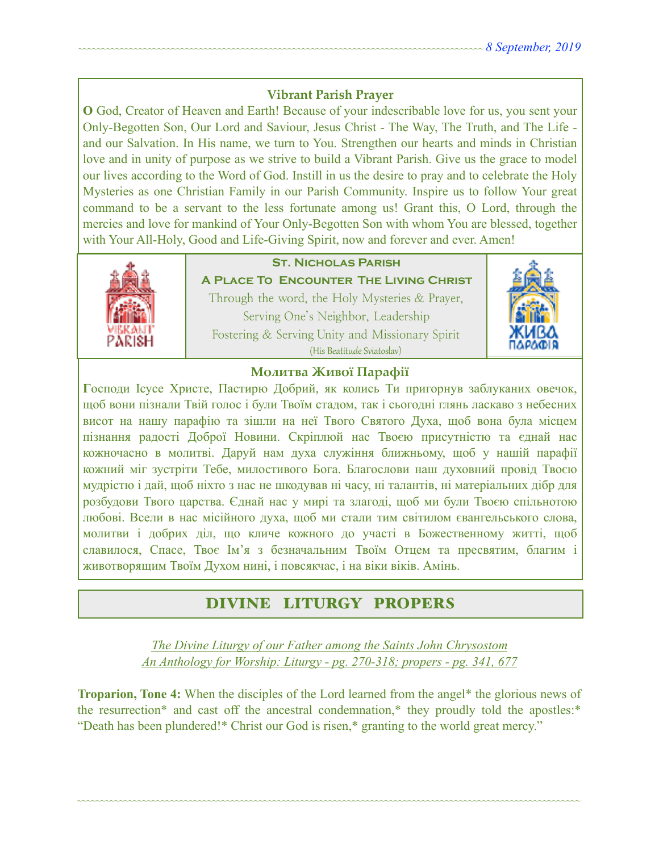## **Vibrant Parish Prayer**

**O** God, Creator of Heaven and Earth! Because of your indescribable love for us, you sent your Only-Begotten Son, Our Lord and Saviour, Jesus Christ - The Way, The Truth, and The Life and our Salvation. In His name, we turn to You. Strengthen our hearts and minds in Christian love and in unity of purpose as we strive to build a Vibrant Parish. Give us the grace to model our lives according to the Word of God. Instill in us the desire to pray and to celebrate the Holy Mysteries as one Christian Family in our Parish Community. Inspire us to follow Your great command to be a servant to the less fortunate among us! Grant this, O Lord, through the mercies and love for mankind of Your Only-Begotten Son with whom You are blessed, together with Your All-Holy, Good and Life-Giving Spirit, now and forever and ever. Amen!



# **St. Nicholas Parish**

**A Place To Encounter The Living Christ** Through the word, the Holy Mysteries & Prayer, Serving One's Neighbor, Leadership Fostering & Serving Unity and Missionary Spirit (His Beatitude Sviatoslav)



### **Молитва Живої Парафії**

**Г**осподи Ісусе Христе, Пастирю Добрий, як колись Ти пригорнув заблуканих овечок, щоб вони пізнали Твій голос і були Твоїм стадом, так і сьогодні глянь ласкаво з небесних висот на нашу парафію та зішли на неї Твого Святого Духа, щоб вона була місцем пізнання радості Доброї Новини. Скріплюй нас Твоєю присутністю та єднай нас кожночасно в молитві. Даруй нам духа служіння ближньому, щоб у нашій парафії кожний міг зустріти Тебе, милостивого Бога. Благослови наш духовний провід Твоєю мудрістю і дай, щоб ніхто з нас не шкодував ні часу, ні талантів, ні матеріальних дібр для розбудови Твого царства. Єднай нас у мирі та злагоді, щоб ми були Твоєю спільнотою любові. Всели в нас місійного духа, щоб ми стали тим світилом євангельського слова, молитви і добрих діл, що кличе кожного до участі в Божественному житті, щоб славилося, Спасе, Твоє Ім'я з безначальним Твоїм Отцем та пресвятим, благим і животворящим Твоїм Духом нині, і повсякчас, і на віки віків. Амінь.

# DIVINE LITURGY PROPERS

*The Divine Liturgy of our Father among the Saints John Chrysostom An Anthology for Worship: Liturgy - pg. 270-318; propers - pg. 341, 677* 

**Troparion, Tone 4:** When the disciples of the Lord learned from the angel\* the glorious news of the resurrection\* and cast off the ancestral condemnation,\* they proudly told the apostles:\* "Death has been plundered!\* Christ our God is risen,\* granting to the world great mercy."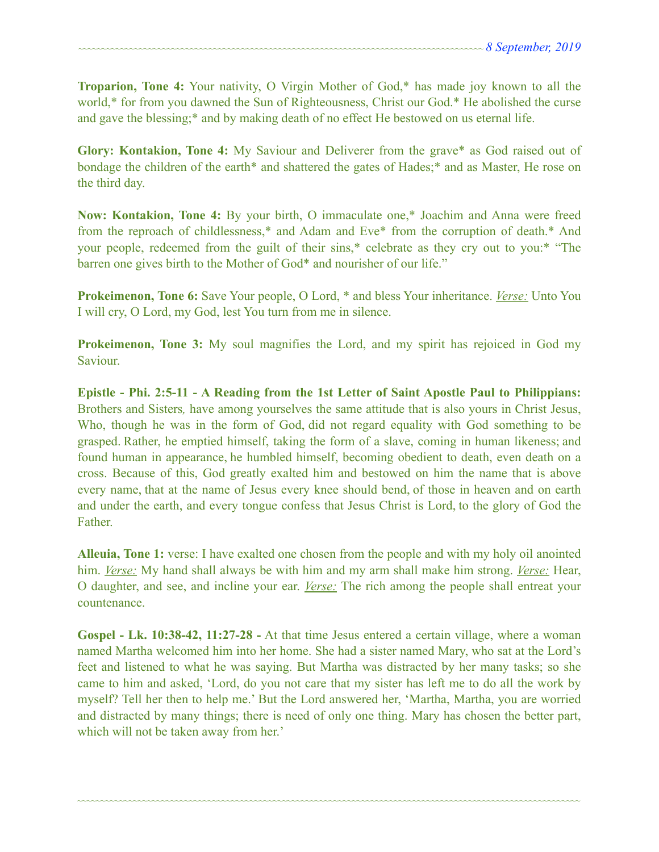**Troparion, Tone 4:** Your nativity, O Virgin Mother of God,\* has made joy known to all the world,\* for from you dawned the Sun of Righteousness, Christ our God.\* He abolished the curse and gave the blessing;\* and by making death of no effect He bestowed on us eternal life.

**Glory: Kontakion, Tone 4:** My Saviour and Deliverer from the grave\* as God raised out of bondage the children of the earth\* and shattered the gates of Hades;\* and as Master, He rose on the third day.

**Now: Kontakion, Tone 4:** By your birth, O immaculate one,\* Joachim and Anna were freed from the reproach of childlessness,\* and Adam and Eve\* from the corruption of death.\* And your people, redeemed from the guilt of their sins,\* celebrate as they cry out to you:\* "The barren one gives birth to the Mother of God\* and nourisher of our life."

**Prokeimenon, Tone 6:** Save Your people, O Lord, \* and bless Your inheritance. *Verse:* Unto You I will cry, O Lord, my God, lest You turn from me in silence.

**Prokeimenon, Tone 3:** My soul magnifies the Lord, and my spirit has rejoiced in God my Saviour.

**Epistle - Phi. 2:5-11 - A Reading from the 1st Letter of Saint Apostle Paul to Philippians:**  Brothers and Sisters*,* have among yourselves the same attitude that is also yours in Christ Jesus, Who, though he was in the form of God, did not regard equality with God something to be grasped. Rather, he emptied himself, taking the form of a slave, coming in human likeness; and found human in appearance, he humbled himself, becoming obedient to death, even death on a cross. Because of this, God greatly exalted him and bestowed on him the name that is above every name, that at the name of Jesus every knee should bend, of those in heaven and on earth and under the earth, and every tongue confess that Jesus Christ is Lord, to the glory of God the Father.

**Alleuia, Tone 1:** verse: I have exalted one chosen from the people and with my holy oil anointed him. *Verse:* My hand shall always be with him and my arm shall make him strong. *Verse:* Hear, O daughter, and see, and incline your ear. *Verse:* The rich among the people shall entreat your countenance.

**Gospel - Lk. 10:38-42, 11:27-28 -** At that time Jesus entered a certain village, where a woman named Martha welcomed him into her home. She had a sister named Mary, who sat at the Lord's feet and listened to what he was saying. But Martha was distracted by her many tasks; so she came to him and asked, 'Lord, do you not care that my sister has left me to do all the work by myself? Tell her then to help me.' But the Lord answered her, 'Martha, Martha, you are worried and distracted by many things; there is need of only one thing. Mary has chosen the better part, which will not be taken away from her.'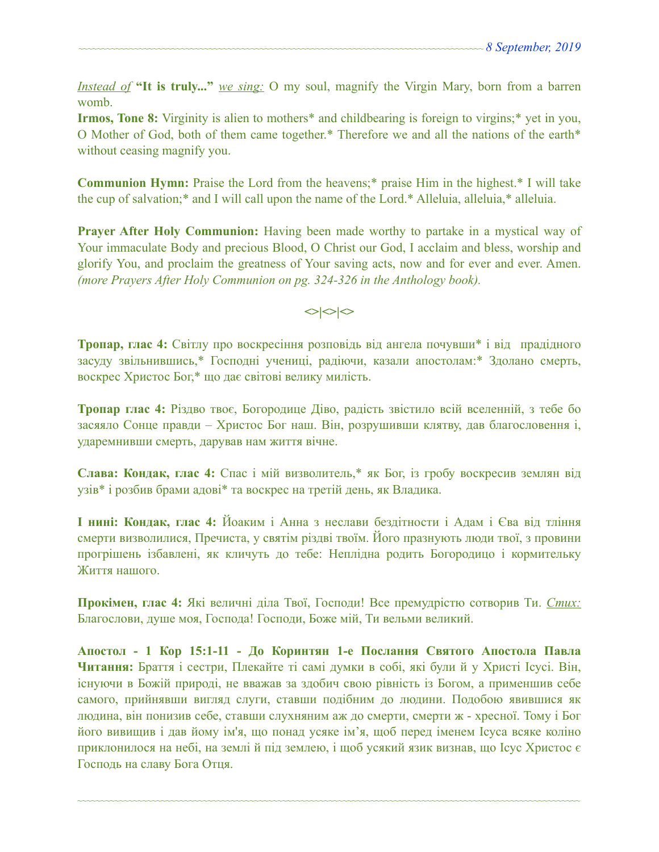*Instead of* **"It is truly..."** *we sing:* O my soul, magnify the Virgin Mary, born from a barren womb.

**Irmos, Tone 8:** Virginity is alien to mothers\* and childbearing is foreign to virgins;\* yet in you, O Mother of God, both of them came together.\* Therefore we and all the nations of the earth\* without ceasing magnify you.

**Communion Hymn:** Praise the Lord from the heavens;\* praise Him in the highest.\* I will take the cup of salvation;\* and I will call upon the name of the Lord.\* Alleluia, alleluia,\* alleluia.

**Prayer After Holy Communion:** Having been made worthy to partake in a mystical way of Your immaculate Body and precious Blood, O Christ our God, I acclaim and bless, worship and glorify You, and proclaim the greatness of Your saving acts, now and for ever and ever. Amen. *(more Prayers After Holy Communion on pg. 324-326 in the Anthology book).* 

# $\left| \diamond \right| \diamond \left| \diamond \right|$

**Тропар, глас 4:** Світлу про воскресіння розповідь від ангела почувши\* і від прадідного засуду звільнившись,\* Господні учениці, радіючи, казали апостолам:\* Здолано смерть, воскрес Христос Бог,\* що дає світові велику милість.

**Тропар глас 4:** Різдво твоє, Богородице Діво, радість звістило всій вселенній, з тебе бо засяяло Сонце правди – Христос Бог наш. Він, розрушивши клятву, дав благословення і, ударемнивши смерть, дарував нам життя вічне.

**Слава: Кондак, глас 4:** Спас і мій визволитель,\* як Бог, із гробу воскресив землян від узів\* і розбив брами адові\* та воскрес на третій день, як Владика.

**І нині: Кондак, глас 4:** Йоаким і Анна з неслави бездітности і Адам і Єва від тління смерти визволилися, Пречиста, у святім різдві твоїм. Його празнують люди твої, з провини прогрішень ізбавлені, як кличуть до тебе: Неплідна родить Богородицо і кормительку Життя нашого.

**Прокімен, глас 4:** Які величні діла Твої, Господи! Все премудрістю сотворив Ти. *Стих:* Благослови, душе моя, Господа! Господи, Боже мій, Ти вельми великий.

**Апостол - 1 Кор 15:1-11 - До Коринтян 1-e Послання Святого Апостола Павла Читання:** Браття і сестри, Плекайте ті самі думки в собі, які були й у Христі Ісусі. Він, існуючи в Божій природі, не вважав за здобич свою рівність із Богом, а применшив себе самого, прийнявши вигляд слуги, ставши подібним до людини. Подобою явившися як людина, він понизив себе, ставши слухняним аж до смерти, смерти ж - хресної. Тому і Бог його вивищив і дав йому ім'я, що понад усяке ім'я, щоб перед іменем Ісуса всяке коліно приклонилося на небі, на землі й під землею, і щоб усякий язик визнав, що Ісус Христос є Господь на славу Бога Отця.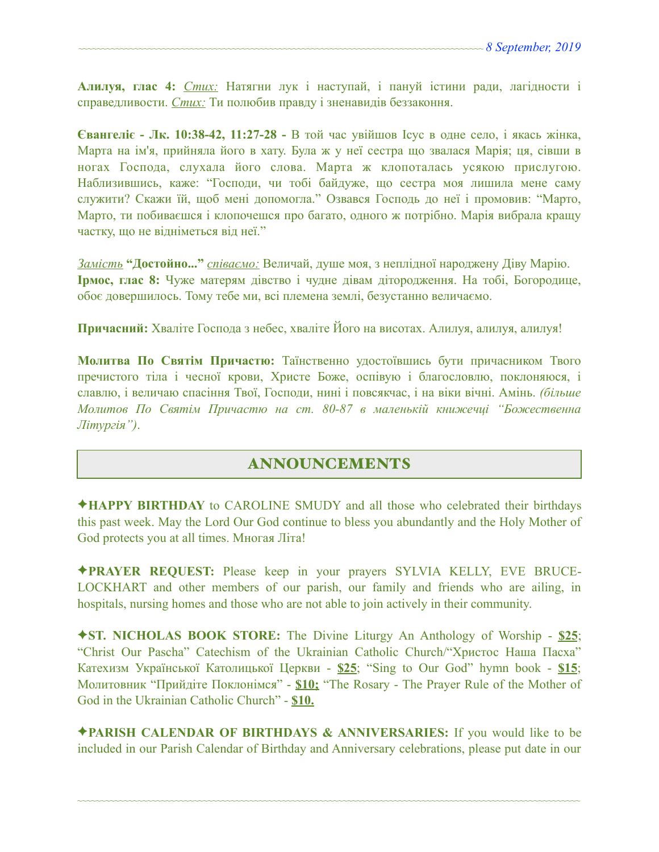**Алилуя, глас 4:** *Стих:* Натягни лук і наступай, і пануй істини ради, лагідности і справедливости. *Стих:* Ти полюбив правду і зненавидів беззаконня.

**Євангеліє - Лк. 10:38-42, 11:27-28 -** В той час увійшов Ісус в одне село, і якась жінка, Марта на ім'я, прийняла його в хату. Була ж у неї сестра що звалася Марія; ця, сівши в ногах Господа, слухала його слова. Марта ж клопоталась усякою прислугою. Наблизившись, каже: "Господи, чи тобі байдуже, що сестра моя лишила мене саму служити? Скажи їй, щоб мені допомогла." Озвався Господь до неї і промовив: "Марто, Марто, ти побиваєшся і клопочешся про багато, одного ж потрібно. Марія вибрала кращу частку, що не відніметься від неї."

*Замість* **"Достойно..."** *співаємо:* Величай, душе моя, з неплідної народжену Діву Марію. **Ірмос, глас 8:** Чуже матерям дівство і чудне дівам дітородження. На тобі, Богородице, обоє довершилось. Тому тебе ми, всі племена землі, безустанно величаємо.

**Причасний:** Хваліте Господа з небес, хваліте Його на висотах. Алилуя, алилуя, алилуя!

**Молитва По Святім Причастю:** Таїнственно удостоївшись бути причасником Твого пречистого тіла і чесної крови, Христе Боже, оспівую і благословлю, поклоняюся, і славлю, і величаю спасіння Твої, Господи, нині і повсякчас, і на віки вічні. Амінь. *(більше Молитов По Святім Причастю на ст. 80-87 в маленькій книжечці "Божественна Літургія")*.

# ANNOUNCEMENTS

✦**HAPPY BIRTHDAY** to CAROLINE SMUDY and all those who celebrated their birthdays this past week. May the Lord Our God continue to bless you abundantly and the Holy Mother of God protects you at all times. Многая Літа!

✦**PRAYER REQUEST:** Please keep in your prayers SYLVIA KELLY, EVE BRUCE-LOCKHART and other members of our parish, our family and friends who are ailing, in hospitals, nursing homes and those who are not able to join actively in their community.

✦**ST. NICHOLAS BOOK STORE:** The Divine Liturgy An Anthology of Worship - **\$25**; "Christ Our Pascha" Catechism of the Ukrainian Catholic Church/"Христос Наша Пасха" Катехизм Української Католицької Церкви - **\$25**; "Sing to Our God" hymn book - **\$15**; Молитовник "Прийдіте Поклонімся" - **\$10;** "The Rosary - The Prayer Rule of the Mother of God in the Ukrainian Catholic Church" - **\$10.** 

✦**PARISH CALENDAR OF BIRTHDAYS & ANNIVERSARIES:** If you would like to be included in our Parish Calendar of Birthday and Anniversary celebrations, please put date in our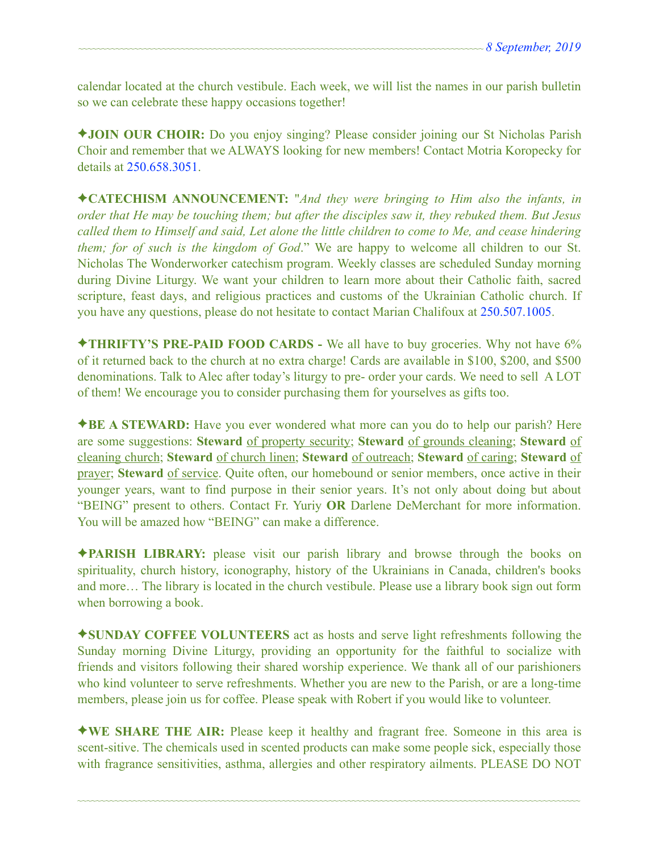calendar located at the church vestibule. Each week, we will list the names in our parish bulletin so we can celebrate these happy occasions together!

✦**JOIN OUR CHOIR:** Do you enjoy singing? Please consider joining our St Nicholas Parish Choir and remember that we ALWAYS looking for new members! Contact Motria Koropecky for details at 250.658.3051.

✦**CATECHISM ANNOUNCEMENT:** "*And they were bringing to Him also the infants, in order that He may be touching them; but after the disciples saw it, they rebuked them. But Jesus called them to Himself and said, Let alone the little children to come to Me, and cease hindering them; for of such is the kingdom of God*." We are happy to welcome all children to our St. Nicholas The Wonderworker catechism program. Weekly classes are scheduled Sunday morning during Divine Liturgy. We want your children to learn more about their Catholic faith, sacred scripture, feast days, and religious practices and customs of the Ukrainian Catholic church. If you have any questions, please do not hesitate to contact Marian Chalifoux at 250.507.1005.

✦**THRIFTY'S PRE-PAID FOOD CARDS -** We all have to buy groceries. Why not have 6% of it returned back to the church at no extra charge! Cards are available in \$100, \$200, and \$500 denominations. Talk to Alec after today's liturgy to pre- order your cards. We need to sell A LOT of them! We encourage you to consider purchasing them for yourselves as gifts too.

✦**BE A STEWARD:** Have you ever wondered what more can you do to help our parish? Here are some suggestions: **Steward** of property security; **Steward** of grounds cleaning; **Steward** of cleaning church; **Steward** of church linen; **Steward** of outreach; **Steward** of caring; **Steward** of prayer; **Steward** of service. Quite often, our homebound or senior members, once active in their younger years, want to find purpose in their senior years. It's not only about doing but about "BEING" present to others. Contact Fr. Yuriy **OR** Darlene DeMerchant for more information. You will be amazed how "BEING" can make a difference.

✦**PARISH LIBRARY:** please visit our parish library and browse through the books on spirituality, church history, iconography, history of the Ukrainians in Canada, children's books and more… The library is located in the church vestibule. Please use a library book sign out form when borrowing a book.

✦**SUNDAY COFFEE VOLUNTEERS** act as hosts and serve light refreshments following the Sunday morning Divine Liturgy, providing an opportunity for the faithful to socialize with friends and visitors following their shared worship experience. We thank all of our parishioners who kind volunteer to serve refreshments. Whether you are new to the Parish, or are a long-time members, please join us for coffee. Please speak with Robert if you would like to volunteer.

✦**WE SHARE THE AIR:** Please keep it healthy and fragrant free. Someone in this area is scent-sitive. The chemicals used in scented products can make some people sick, especially those with fragrance sensitivities, asthma, allergies and other respiratory ailments. PLEASE DO NOT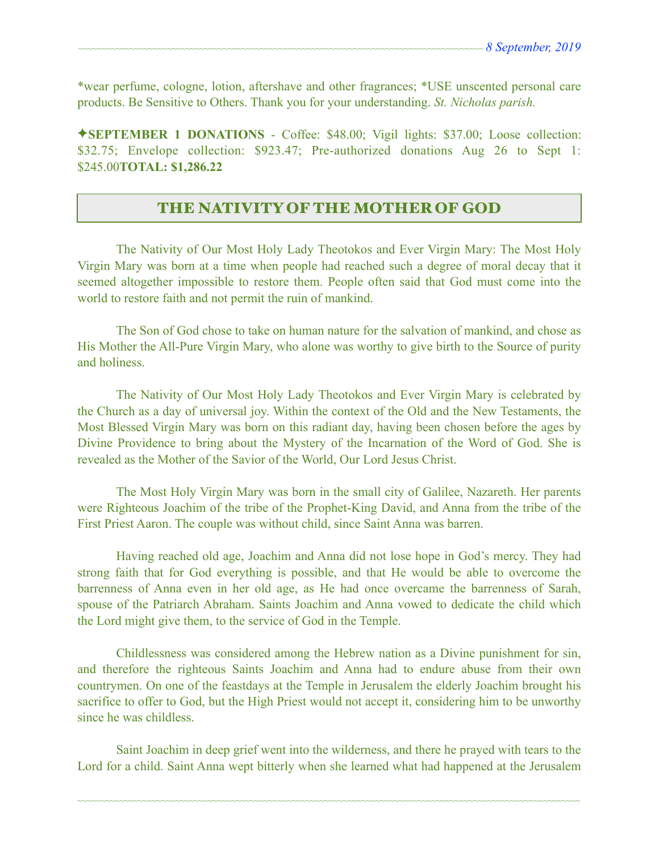\*wear perfume, cologne, lotion, aftershave and other fragrances; \*USE unscented personal care products. Be Sensitive to Others. Thank you for your understanding. *St. Nicholas parish.* 

✦**SEPTEMBER 1 DONATIONS** - Coffee: \$48.00; Vigil lights: \$37.00; Loose collection: \$32.75; Envelope collection: \$923.47; Pre-authorized donations Aug 26 to Sept 1: \$245.00**TOTAL: \$1,286.22**

## THE NATIVITY OF THE MOTHER OF GOD

 The Nativity of Our Most Holy Lady Theotokos and Ever Virgin Mary: The Most Holy Virgin Mary was born at a time when people had reached such a degree of moral decay that it seemed altogether impossible to restore them. People often said that God must come into the world to restore faith and not permit the ruin of mankind.

The Son of God chose to take on human nature for the salvation of mankind, and chose as His Mother the All-Pure Virgin Mary, who alone was worthy to give birth to the Source of purity and holiness.

The Nativity of Our Most Holy Lady Theotokos and Ever Virgin Mary is celebrated by the Church as a day of universal joy. Within the context of the Old and the New Testaments, the Most Blessed Virgin Mary was born on this radiant day, having been chosen before the ages by Divine Providence to bring about the Mystery of the Incarnation of the Word of God. She is revealed as the Mother of the Savior of the World, Our Lord Jesus Christ.

The Most Holy Virgin Mary was born in the small city of Galilee, Nazareth. Her parents were Righteous Joachim of the tribe of the Prophet-King David, and Anna from the tribe of the First Priest Aaron. The couple was without child, since Saint Anna was barren.

Having reached old age, Joachim and Anna did not lose hope in God's mercy. They had strong faith that for God everything is possible, and that He would be able to overcome the barrenness of Anna even in her old age, as He had once overcame the barrenness of Sarah, spouse of the Patriarch Abraham. Saints Joachim and Anna vowed to dedicate the child which the Lord might give them, to the service of God in the Temple.

Childlessness was considered among the Hebrew nation as a Divine punishment for sin, and therefore the righteous Saints Joachim and Anna had to endure abuse from their own countrymen. On one of the feastdays at the Temple in Jerusalem the elderly Joachim brought his sacrifice to offer to God, but the High Priest would not accept it, considering him to be unworthy since he was childless.

Saint Joachim in deep grief went into the wilderness, and there he prayed with tears to the Lord for a child. Saint Anna wept bitterly when she learned what had happened at the Jerusalem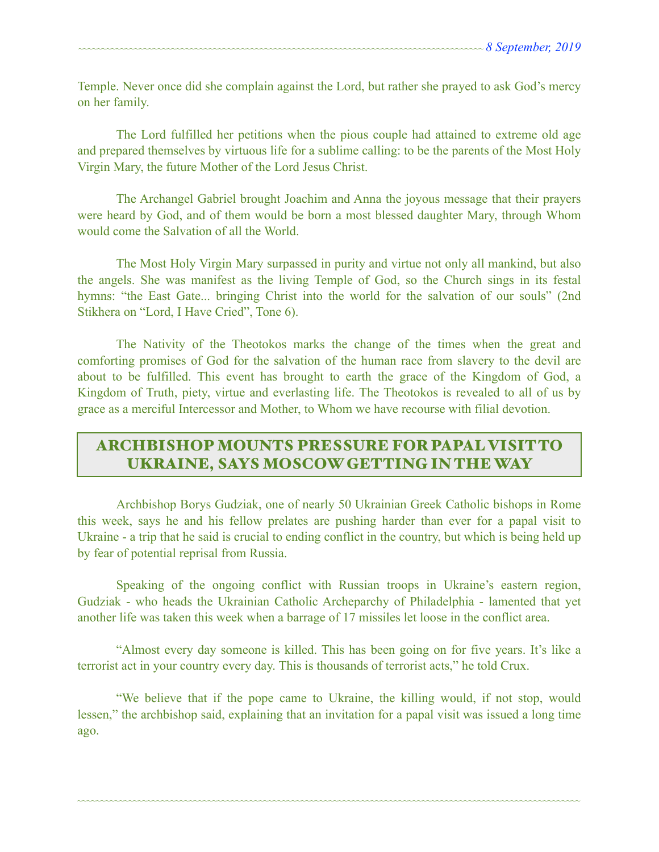Temple. Never once did she complain against the Lord, but rather she prayed to ask God's mercy on her family.

The Lord fulfilled her petitions when the pious couple had attained to extreme old age and prepared themselves by virtuous life for a sublime calling: to be the parents of the Most Holy Virgin Mary, the future Mother of the Lord Jesus Christ.

The Archangel Gabriel brought Joachim and Anna the joyous message that their prayers were heard by God, and of them would be born a most blessed daughter Mary, through Whom would come the Salvation of all the World.

The Most Holy Virgin Mary surpassed in purity and virtue not only all mankind, but also the angels. She was manifest as the living Temple of God, so the Church sings in its festal hymns: "the East Gate... bringing Christ into the world for the salvation of our souls" (2nd Stikhera on "Lord, I Have Cried", Tone 6).

The Nativity of the Theotokos marks the change of the times when the great and comforting promises of God for the salvation of the human race from slavery to the devil are about to be fulfilled. This event has brought to earth the grace of the Kingdom of God, a Kingdom of Truth, piety, virtue and everlasting life. The Theotokos is revealed to all of us by grace as a merciful Intercessor and Mother, to Whom we have recourse with filial devotion.

# ARCHBISHOP MOUNTS PRESSURE FOR PAPAL VISIT TO UKRAINE, SAYS MOSCOW GETTING IN THE WAY

 Archbishop Borys Gudziak, one of nearly 50 Ukrainian Greek Catholic bishops in Rome this week, says he and his fellow prelates are pushing harder than ever for a papal visit to Ukraine - a trip that he said is crucial to ending conflict in the country, but which is being held up by fear of potential reprisal from Russia.

 Speaking of the ongoing conflict with Russian troops in Ukraine's eastern region, Gudziak - who heads the Ukrainian Catholic Archeparchy of Philadelphia - lamented that yet another life was taken this week when a barrage of 17 missiles let loose in the conflict area.

 "Almost every day someone is killed. This has been going on for five years. It's like a terrorist act in your country every day. This is thousands of terrorist acts," he told Crux.

 "We believe that if the pope came to Ukraine, the killing would, if not stop, would lessen," the archbishop said, explaining that an invitation for a papal visit was issued a long time ago.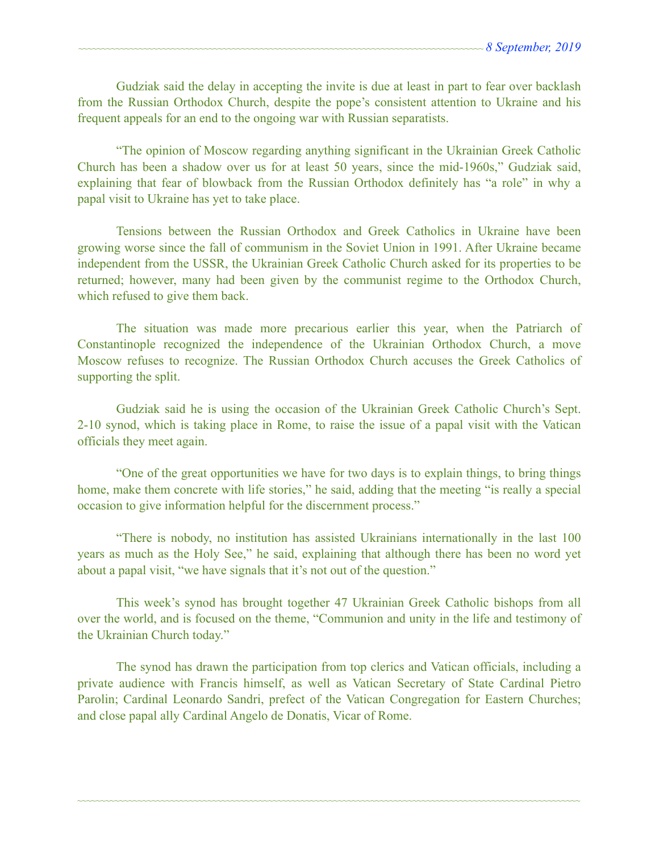Gudziak said the delay in accepting the invite is due at least in part to fear over backlash from the Russian Orthodox Church, despite the pope's consistent attention to Ukraine and his frequent appeals for an end to the ongoing war with Russian separatists.

 "The opinion of Moscow regarding anything significant in the Ukrainian Greek Catholic Church has been a shadow over us for at least 50 years, since the mid-1960s," Gudziak said, explaining that fear of blowback from the Russian Orthodox definitely has "a role" in why a papal visit to Ukraine has yet to take place.

 Tensions between the Russian Orthodox and Greek Catholics in Ukraine have been growing worse since the fall of communism in the Soviet Union in 1991. After Ukraine became independent from the USSR, the Ukrainian Greek Catholic Church asked for its properties to be returned; however, many had been given by the communist regime to the Orthodox Church, which refused to give them back.

 The situation was made more precarious earlier this year, when the Patriarch of Constantinople recognized the independence of the Ukrainian Orthodox Church, a move Moscow refuses to recognize. The Russian Orthodox Church accuses the Greek Catholics of supporting the split.

 Gudziak said he is using the occasion of the Ukrainian Greek Catholic Church's Sept. 2-10 synod, which is taking place in Rome, to raise the issue of a papal visit with the Vatican officials they meet again.

 "One of the great opportunities we have for two days is to explain things, to bring things home, make them concrete with life stories," he said, adding that the meeting "is really a special occasion to give information helpful for the discernment process."

 "There is nobody, no institution has assisted Ukrainians internationally in the last 100 years as much as the Holy See," he said, explaining that although there has been no word yet about a papal visit, "we have signals that it's not out of the question."

 This week's synod has brought together 47 Ukrainian Greek Catholic bishops from all over the world, and is focused on the theme, "Communion and unity in the life and testimony of the Ukrainian Church today."

 The synod has drawn the participation from top clerics and Vatican officials, including a private audience with Francis himself, as well as Vatican Secretary of State Cardinal Pietro Parolin; Cardinal Leonardo Sandri, prefect of the Vatican Congregation for Eastern Churches; and close papal ally Cardinal Angelo de Donatis, Vicar of Rome.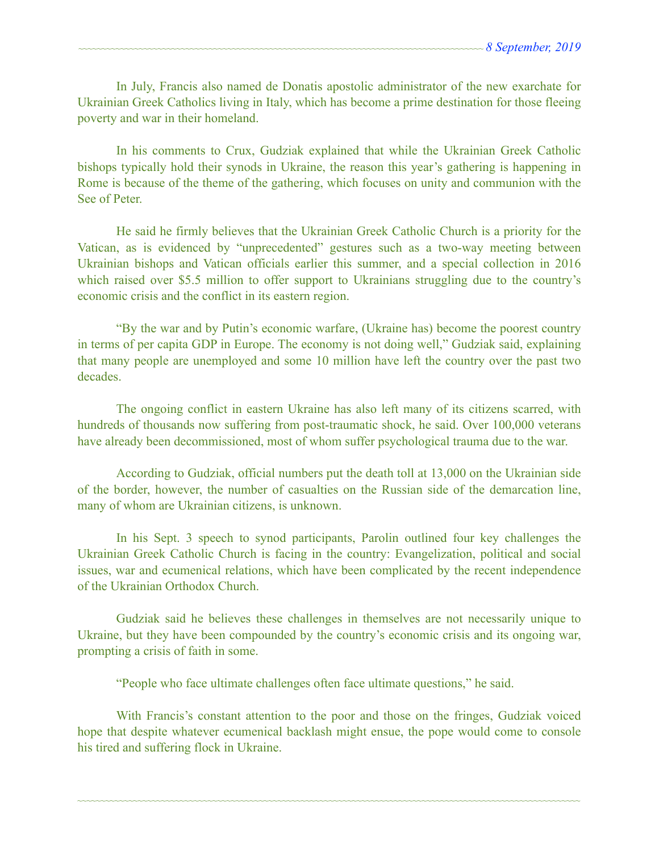In July, Francis also named de Donatis apostolic administrator of the new exarchate for Ukrainian Greek Catholics living in Italy, which has become a prime destination for those fleeing poverty and war in their homeland.

 In his comments to Crux, Gudziak explained that while the Ukrainian Greek Catholic bishops typically hold their synods in Ukraine, the reason this year's gathering is happening in Rome is because of the theme of the gathering, which focuses on unity and communion with the See of Peter.

 He said he firmly believes that the Ukrainian Greek Catholic Church is a priority for the Vatican, as is evidenced by "unprecedented" gestures such as a two-way meeting between Ukrainian bishops and Vatican officials earlier this summer, and a special collection in 2016 which raised over \$5.5 million to offer support to Ukrainians struggling due to the country's economic crisis and the conflict in its eastern region.

 "By the war and by Putin's economic warfare, (Ukraine has) become the poorest country in terms of per capita GDP in Europe. The economy is not doing well," Gudziak said, explaining that many people are unemployed and some 10 million have left the country over the past two decades.

 The ongoing conflict in eastern Ukraine has also left many of its citizens scarred, with hundreds of thousands now suffering from post-traumatic shock, he said. Over 100,000 veterans have already been decommissioned, most of whom suffer psychological trauma due to the war.

 According to Gudziak, official numbers put the death toll at 13,000 on the Ukrainian side of the border, however, the number of casualties on the Russian side of the demarcation line, many of whom are Ukrainian citizens, is unknown.

 In his Sept. 3 speech to synod participants, Parolin outlined four key challenges the Ukrainian Greek Catholic Church is facing in the country: Evangelization, political and social issues, war and ecumenical relations, which have been complicated by the recent independence of the Ukrainian Orthodox Church.

 Gudziak said he believes these challenges in themselves are not necessarily unique to Ukraine, but they have been compounded by the country's economic crisis and its ongoing war, prompting a crisis of faith in some.

"People who face ultimate challenges often face ultimate questions," he said.

 With Francis's constant attention to the poor and those on the fringes, Gudziak voiced hope that despite whatever ecumenical backlash might ensue, the pope would come to console his tired and suffering flock in Ukraine.